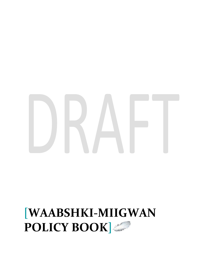# **[WAABSHKI-MIIGWAN POLICY BOOK]**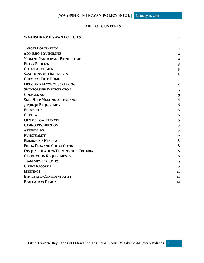#### **TABLE OF CONTENTS**

| <b>WAABSHKI-MIIGWAN POLICIES</b>       | 2                       |
|----------------------------------------|-------------------------|
|                                        |                         |
| <b>TARGET POPULATION</b>               | $\mathbf{2}$            |
| <b>ADMISSION GUIDELINES</b>            | $\mathbf{2}$            |
| <b>VIOLENT PARTICIPANT PROHIBITION</b> | $\mathbf{2}$            |
| <b>ENTRY PROCESS</b>                   | $\overline{\mathbf{3}}$ |
| <b>CLIENT AGREEMENT</b>                | 3                       |
| <b>SANCTIONS AND INCENTIVES</b>        | $\overline{\mathbf{3}}$ |
| <b>CHEMICAL FREE HOME</b>              | $\overline{\mathbf{4}}$ |
| <b>DRUG AND ALCOHOL SCREENING</b>      | $\overline{\bf{4}}$     |
| <b>SPONSORSHIP PARTICIPATION</b>       | 5                       |
| <b>COUNSELING</b>                      | 5                       |
| <b>SELF-HELP MEETING ATTENDANCE</b>    | 6                       |
| 30/30/30 REQUIREMENT                   | 6                       |
| <b>EDUCATION</b>                       | 6                       |
| <b>CURFEW</b>                          | 6                       |
| <b>OUT OF TOWN TRAVEL</b>              | 6                       |
| <b>CASINO PROHIBITION</b>              | 7                       |
| <b>ATTENDANCE</b>                      | 7                       |
| <b>PUNCTUALITY</b>                     | 7                       |
| <b>EMERGENCY HEARING</b>               | 8                       |
| FINES, FEES, AND COURT COSTS           | 8                       |
| DISQUALIFICATION/TERMINATION CRITERIA  | 8                       |
| <b>GRADUATION REQUIREMENTS</b>         | 8                       |
| <b>TEAM MEMBER ROLES</b>               | 9                       |
| <b>CLIENT RECORDS</b>                  | 10                      |
| <b>MEETINGS</b>                        | 11                      |
| <b>ETHICS AND CONFIDENTIALITY</b>      | 11                      |
| <b>EVALUATION DESIGN</b>               | 12                      |

<span id="page-1-0"></span>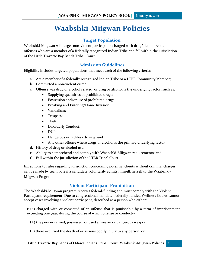## **Waabshki-Miigwan Policies**

#### **Target Population**

<span id="page-2-0"></span>Waabshki-Miigwan will target non-violent participants charged with drug/alcohol related offenses who are a member of a federally recognized Indian Tribe and fall within the jurisdiction of the Little Traverse Bay Bands Tribal Court.

#### **Admission Guidelines**

<span id="page-2-1"></span>Eligibility includes targeted populations that meet each of the following criteria:

- a. Are a member of a federally recognized Indian Tribe or a LTBB Community Member;
- b. Committed a non-violent crime;
- c. Offense was drug or alcohol related, or drug or alcohol is the underlying factor; such as:
	- Supplying quantities of prohibited drugs;
	- Possession and/or use of prohibited drugs;
	- Breaking and Entering/Home Invasion;
	- Vandalism;
	- Trespass;
	- Theft:
	- Disorderly Conduct;
	- DUI;
	- Dangerous or reckless driving; and
	- Any other offense where drugs or alcohol is the primary underlying factor
- d. History of drug or alcohol use;
- e. Ability to comprehend and comply with Waabshki-Miigwan requirements; and
- f. Fall within the jurisdiction of the LTBB Tribal Court

Exceptions to rules regarding jurisdiction concerning potential clients without criminal charges can be made by team vote if a candidate voluntarily admits himself/herself to the Waabshki-Miigwan Program.

#### **Violent Participant Prohibition**

<span id="page-2-2"></span>The Waabshki-Miigwan program receives federal-funding and must comply with the Violent Participant requirement. Due to congressional mandate, federally-funded Wellness Courts cannot accept cases involving a violent participant, described as a person who either:

(1) is charged with or convicted of an offense that is punishable by a term of imprisonment exceeding one year, during the course of which offense or conduct--

- (A) the person carried, possessed, or used a firearm or dangerous weapon;
- (B) there occurred the death of or serious bodily injury to any person; or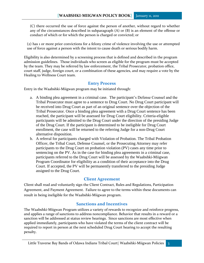(C) there occurred the use of force against the person of another, without regard to whether any of the circumstances described in subparagraph (A) or (B) is an element of the offense or conduct of which or for which the person is charged or convicted; or

(2) has 1 or more prior convictions for a felony crime of violence involving the use or attempted use of force against a person with the intent to cause death or serious bodily harm.

Eligibility is also determined by a screening process that is defined and described in the program admission guidelines. Those individuals who screen as eligible for the program must be accepted by the team. They may be referred by law enforcement, the Tribal Prosecutor, probation office, court staff, judge, foreign court, or a combination of these agencies, and may require a vote by the Healing to Wellness Court team.

#### **Entry Process**

<span id="page-3-0"></span>Entry in the Waabshki-Miigwan program may be initiated through:

- a. A binding plea agreement in a criminal case. The participant's Defense Counsel and the Tribal Prosecutor must agree to a sentence to Drug Court. No Drug Court participant will be received into Drug Court as part of an original sentence over the objection of the Tribal Prosecutor. Once a binding plea agreement with a Drug Court sentence has been reached, the participant will be assessed for Drug Court eligibility. Criteria-eligible participants will be admitted to the Drug Court under the direction of the presiding Judge of the Drug Court. If the participant is determined to be ineligible for Drug Court enrollment, the case will be returned to the referring Judge for a non-Drug Court alternative disposition.
- b. A referral for participants charged with Violation of Probation. The Tribal Probation Officer, the Tribal Court, Defense Counsel, or the Prosecuting Attorney may refer participants to the Drug Court on probation violation (PV) cases any time prior to sentencing on the PV. As in the case for binding plea agreements in a criminal case, participants referred to the Drug Court will be assessed by the Waabshki-Miigwan Program Coordinator for eligibility as a condition of their acceptance into the Drug Court. If accepted, the PV will be permanently transferred to the presiding Judge assigned to the Drug Court.

#### **Client Agreement**

<span id="page-3-1"></span>Client shall read and voluntarily sign the Client Contract, Rules and Regulations, Participation Agreement, and Payment Agreement. Failure to agree to the terms within these documents can result in being ineligible for the Waabshki-Miigwan program.

#### **Sanctions and Incentives**

<span id="page-3-2"></span>The Waabshki-Miigwan Program utilizes a variety of rewards to recognize and reinforce progress, and applies a range of sanctions to address noncompliance. Behavior that results in a reward or a sanction will be addressed at status review hearings. Since sanctions are most effective when applied immediately, participants who have violated the terms of the client contract will be required to report in person at the next scheduled Drug Court hearing to accept the resulting penalty.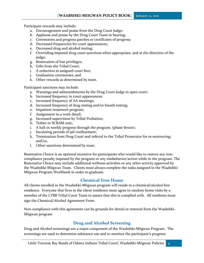Participant rewards may include:

- a. Encouragement and praise from the Drug Court Judge;
- b. Applause and praise by the Drug Court Team in hearing;
- c. Ceremonies and progress patches or certificates of progress;
- d. Decreased frequencies for court appearances;
- e. Decreased drug and alcohol testing;
- f. Overriding imposed drug court sanctions when appropriate, and at the direction of the judge;
- g. Restoration of lost privileges;
- h. Gifts from the Tribal Court;
- i. A reduction in assigned court fees;
- j. Graduation ceremonies; and
- k. Other rewards as determined by team.

Participant sanctions may include:

- a. Warnings and admonishments by the Drug Court Judge in open court;
- b. Increased frequency in court appearances;
- c. Increased frequency of AA meetings;
- d. Increased frequency of drug testing and/or breath testing;
- e. Impatient treatment program;
- f. Assignment to a work detail;
- g. Increased supervision by Tribal Probation;
- h. Tether or SCRAM unit;
- i. A halt in weekly progress through the program. (phase freeze);
- j. Escalating periods of jail confinement;
- k. Termination from Drug Court and referral to the Tribal Prosecutor for re-sentencing; and/or,
- l. Other sanctions determined by team.

Restorative Choice is an optional incentive for participants who would like to restore any noncompliance penalty imposed by the program or any misbehavior/action while in the program. The Restorative Choice may include additional wellness activities or any other activity approved by the Waabshki-Miigwan Team. Clients must always complete the tasks assigned in the Waabshki-Miigwan Program Workbook in order to graduate.

#### **Chemical Free Home**

<span id="page-4-0"></span>All clients enrolled in the Waabshki-Miigwan program will reside in a chemical/alcohol free residence. Everyone that lives in the client residence must agree to random home visits by a member of the LTBB Tribal Court Team to assure that this is complied with. All residents must sign the Chemical/Alcohol Agreement Form.

Non-compliance with this agreement can be grounds for denial or removal from the Waabshki-Miigwan program

#### **Drug and Alcohol Screening**

<span id="page-4-1"></span>Drug and Alcohol screenings are a major component of the Waabshki-Miigwan Program. The screenings are used to determine substance use and to monitor the participant's progress.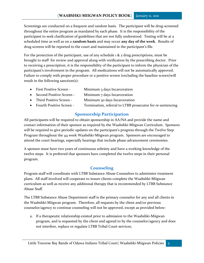Screenings are conducted on a frequent and random basis. The participant will be drug-screened throughout the entire program as mandated by each phase. It is the responsibility of the participant to seek clarification of guidelines that are not fully understood. Testing will be at a scheduled time as well as on a **random basis** and may occur **any day of the week**. Results of drug screens will be reported to the court and maintained in the participant's file.

For the protection of the participant, use of any schedule 1 & 2 drug prescriptions, must be brought to staff for review and approval along with verification by the prescribing doctor. Prior to receiving a prescription, it is the responsibility of the participant to inform the physician of the participant's involvement in the program. All medications will not be automatically approved. Failure to comply with proper procedure or a positive screen (excluding the baseline screen)will result in the following sanction(s):

- First Positive Screen Minimum 3 days Incarceration
- Second Positive Screen Minimum 7 days Incarceration
- Third Positive Screen Minimum 30 days Incarceration
- Fourth Positive Screen Termination, referral to LTBB prosecutor for re-sentencing

#### **Sponsorship Participation**

<span id="page-5-0"></span>All participants will be required to obtain sponsorship in AA/NA and provide the name and contact information of their sponsor as required by the Waabshki-Miigwan Curriculum. Sponsors will be required to give periodic updates on the participant's progress through the Twelve Step Program throughout the 44 week Waabshki-Miigwan program. Sponsors are encouraged to attend the court hearings, especially hearings that include phase advancement ceremonies.

A sponsor must have two years of continuous sobriety and have a working knowledge of the twelve steps. It is preferred that sponsors have completed the twelve steps in their personal program.

#### **Counseling**

<span id="page-5-1"></span>Program staff will coordinate with LTBB Substance Abuse Counselors to administer treatment plans. All staff involved will cooperate to insure clients complete the Waabshki-Miigwan curriculum as well as receive any additional therapy that is recommended by LTBB Substance Abuse Staff.

The LTBB Substance Abuse Department staff is the primary counselor for any and all clients in the Waabshki-Miigwan program. Therefore, all requests by the client and/or previous counselor/agency to continue counseling will not be approved, except as provided below:

a. If a therapeutic relationship existed prior to admission to the Waabshki-Miigwan program, and is requested by the client and agreed to by the counselor/agency and does not interfere, replace or regulate LTBB Tribal Court services;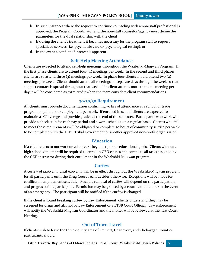- b. In such instances where the request to continue counseling with a non-staff professional is approved, the Program Coordinator and the non-staff counselor/agency must define the parameters for the dual relationship with the client;
- c. If during the client's treatment it becomes necessary for the program staff to request specialized services (i.e. psychiatric care or psychological testing); or
- d. In the event a conflict of interest is apparent.

#### **Self-Help Meeting Attendance**

<span id="page-6-0"></span>Clients are expected to attend self-help meetings throughout the Waabshki-Miigwan Program. In the first phase clients are to attend four  $(4)$  meetings per week. In the second and third phases clients are to attend three (3) meetings per week. In phase four clients should attend two (2) meetings per week. Clients should attend all meetings on separate days through the week so that support contact is spread throughout that week. If a client attends more than one meeting per day it will be considered as extra credit when the team considers client recommendations.

#### **30/30/30 Requirement**

<span id="page-6-1"></span>All clients must provide documentation confirming 30 hrs of attendance at a school or trade program or 30 hours or employment per week. If enrolled in school clients are expected to maintain a "C" average and provide grades at the end of the semester. Participants who work will provide a check stub for each pay period and a work schedule on a regular basis. Client's who fail to meet these requirements will be obligated to complete 30 hours of community service per week to be completed with the LTBB Tribal Government or another approved non-profit organization.

#### **Education**

<span id="page-6-2"></span>If a client elects to not work or volunteer, they must pursue educational goals. Clients without a high school diploma will be required to enroll in GED classes and complete all tasks assigned by the GED instructor during their enrollment in the Waabshki-Miigwan program.

#### **Curfew**

<span id="page-6-3"></span>A curfew of 12:00 a.m. until 6:00 a.m. will be in effect throughout the Waabshki-Miigwan program for all participants until the Drug Court Team decides otherwise. Exceptions will be made for conflicts in employment schedule. Possible removal of curfew will depend on the participation and progress of the participant. Permission may be granted by a court team member in the event of an emergency. The participant will be notified if the curfew is changed.

If the client is found breaking curfew by Law Enforcement, clients understand they may be screened for drugs and alcohol by Law Enforcement or a LTBB Court Official. Law enforcement will notify the Waabshki-Miigwan Coordinator and the matter will be reviewed at the next Court Hearing.

#### **Out of Town Travel**

<span id="page-6-4"></span>If clients wish to leave the three-county area of Emmett, Charlevoix, and Cheboygan Counties, participants should: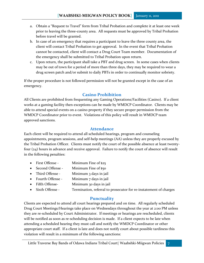- a. Obtain a "Request to Travel" form from Tribal Probation and complete it at least one week prior to leaving the three-county area. All requests must be approved by Tribal Probation before travel will be granted.
- b. In case of an emergency that requires a participant to leave the three county area, the client will contact Tribal Probation to get approval. In the event that Tribal Probation cannot be contacted, client will contact a Drug Court Team member. Documentation of the emergency shall be submitted to Tribal Probation upon return.
- c. Upon return, the participant shall take a PBT and drug screen. In some cases when clients may be out of town for a period of more than three days, they may be required to wear a drug screen patch and/or submit to daily PBTs in order to continually monitor sobriety.

If the proper procedure is not followed permission will not be granted except in the case of an emergency.

#### **Casino Prohibition**

<span id="page-7-0"></span>All Clients are prohibited from frequenting any Gaming Operations/Facilities (Casino). If a client works at a gaming facility then exceptions can be made by WMDCP Coordinator. Clients may be able to attend special events on a casino property if they secure proper permission from the WMDCP Coordinator prior to event. Violations of this policy will result in WMDCP team approved sanctions.

#### **Attendance**

<span id="page-7-1"></span>Each client will be required to attend all scheduled hearings, program and counseling appointments, program sessions, and self-help meetings (AA) unless they are properly excused by the Tribal Probation Officer. Clients must notify the court of the possible absence at least twentyfour (24) hours in advance and receive approval. Failure to notify the court of absence will result in the following penalties:

- First Offense Minimum Fine of \$25
- Second Offense Minimum Fine of \$50
- Third Offense Minimum 3 days in jail
- Fourth Offense Minimum 7 days in jail
- Fifth Offense- Minimum 30 days in jail
- Sixth Offense Termination, referral to prosecutor for re-instatement of charges

#### **Punctuality**

<span id="page-7-2"></span>Clients are expected to attend all court hearings prepared and on time. All regularly scheduled Drug Court Meetings/Hearings take place on Wednesdays throughout the year at 2:00 PM unless they are re-scheduled by Court Administrator. If meetings or hearings are rescheduled, clients will be notified as soon as re-scheduling decision is made. If a client expects to be late when attending a scheduled hearing they must call and notify the WMDCP Coordinator or other appropriate court staff. If a client is late and does not notify court about possible tardiness this violation will result in a minimum of the following sanctions: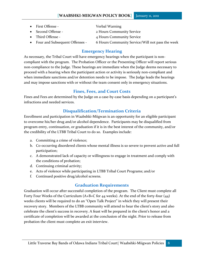- First Offense The Verbal Warning
- 
- 
- 

- Second Offense 2 Hours Community Service
- Third Offense 4 Hours Community Service
- Four and Subsequent Offenses 6 Hours Community Service/Will not pass the week

#### **Emergency Hearing**

<span id="page-8-0"></span>As necessary, the Tribal Court will have emergency hearings when the participant is noncompliant with the program. The Probation Officer or the Presenting Officer will report serious non-compliance to the Judge. These hearings are immediate when the Judge deems necessary to proceed with a hearing when the participant action or activity is seriously non-compliant and when immediate sanctions and/or detention needs to be impose. The Judge leads the hearings and may impose sanctions with or without the team consent only in emergency situations.

#### **Fines, Fees, and Court Costs**

<span id="page-8-1"></span>Fines and Fees are determined by the Judge on a case-by-case basis depending on a participant's infractions and needed services.

#### **Disqualification/Termination Criteria**

<span id="page-8-2"></span>Enrollment and participation in Waabshki-Miigwan is an opportunity for an eligible participant to overcome his/her drug and/or alcohol dependence. Participants may be disqualified from program entry, continuation, or graduation if it is in the best interest of the community, and/or the credibility of the LTBB Tribal Court to do so. Examples include:

- a. Committing a crime of violence;
- b. Co-occurring disordered clients whose mental illness is so severe to prevent active and full participation;
- c. A demonstrated lack of capacity or willingness to engage in treatment and comply with the conditions of probation;
- d. Continuing criminal activity;
- e. Acts of violence while participating in LTBB Tribal Court Programs; and/or
- f. Continued positive drug/alcohol screens.

#### **Graduation Requirements**

<span id="page-8-3"></span>Graduation will occur after successful completion of the program. The Client must complete all Forty Four Weeks of the Curriculum (A+B+C for 44 weeks). At the end of the forty-four (44) weeks clients will be required to do an "Open Talk Project" in which they will present their recovery story. Members of the LTBB community will attend to hear the client's story and also celebrate the client's success in recovery. A feast will be prepared in the client's honor and a certificate of completion will be awarded at the conclusion of the night. Prior to release from probation the client must complete an exit interview.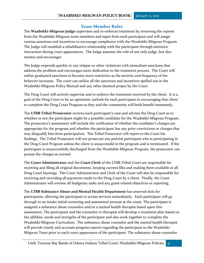#### **Team Member Roles**

<span id="page-9-0"></span>The **Waabshki-Miigwan Judge** supervises and re-enforces treatment by reviewing the reports from the Waabshki-Miigwan team members and input from each participant and will assign various sanctions and incentives to encourage compliance with the Waabshki-Miigwan Program. The Judge will establish a rehabilitative relationship with the participant through intensive interaction during court appearances. The Judge assumes the role of not only judge, but also mentor and encourager.

The Judge responds quickly to any relapse or other violations with immediate sanctions that address the problem and encourages more dedication to the treatment process. The Court will utilize graduated sanctions to become more restrictive as the severity and frequency of the behavior increases. The court can utilize all the sanctions and incentives spelled out in the Waabshki-Miigwan Policy Manual and any other deemed proper by the Court.

The Drug Court will actively supervise and re-enforce the treatment received by the client. It is a goal of the Drug Court to be an optimistic outlook for each participant in encouraging that client to complete the Drug Court Program as they and the community will both benefit immensely.

The **LTBB Tribal Prosecutor** reviews each participant's case and advises the Drug Court as to whether or not the participant might be a possible candidate for the Waabshki-Miigwan Program. The prosecutor's assessment will include the verification of whether the candidate's charges are appropriate for the program and whether the participant has any prior convictions or charges that may disqualify him from participation. The Tribal Prosecutor will report to the Court his findings. The Tribal Prosecutor will not prosecute any pretrial participant who is participating in the Drug Court Program unless the client is unsuccessful in the program and is terminated. If the participant is unsuccessfully discharged from the Waabshki-Miigwan Program, the prosecutor can pursue the charges as normal.

The **Court Administrator** and the **Court Clerk** of the LTBB Tribal Court are responsible for receiving and filing all original documents, keeping current files and making them available at all Drug Court hearings. The Court Administrator and Clerk of the Court will also be responsible for receiving and recording all payments made to the Drug Court by a client. Finally, the Court Administrator will oversee all budgetary tasks and any grant related objectives or reporting.

The **LTBB Substance Abuse and Mental Health Department** has reserved slots for participants, allowing the participant to access services immediately. Each participant will go through in an intake-initial screening and assessment process at the onset. The participant is assigned a substance abuse counselor and/or a mental health therapist based upon this assessment. The participant and the counselor or therapist will develop a treatment plan based on the abilities, needs and strengths of the participant and also work together to complete the Waabshki-Miigwan Curriculum. The substance abuse counselor and the mental health therapist will provide timely and accurate progress reports regarding the participant to the Waabshki-Miigwan Team prior to each court appearance of the participant. The substance abuse counselor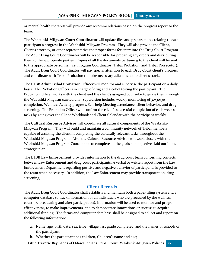or mental health therapist will provide any recommendations based on the progress report to the team.

The **Waabshki-Miigwan Court Coordinator** will update files and prepare notes relating to each participant's progress in the Waabshki-Miigwan Program. They will also provide the Client, Client's attorney, or other representative the proper forms for entry into the Drug Court Program. The Adult Drug Court Coordinator will be responsible for preparing any orders and distributing them to the appropriate parties. Copies of all the documents pertaining to the client will be sent to the appropriate personnel (i.e. Program Coordinator, Tribal Probation, and Tribal Prosecutor). The Adult Drug Court Coordinator will pay special attention to each Drug Court client's progress and coordinate with Tribal Probation to make necessary adjustments to client's track.

The **LTBB Adult Tribal Probation Officer** will monitor and supervise the participant on a daily basis. The Probation Officer is in charge of drug and alcohol testing the participant. The Probation Officer works with the client and the client's assigned counselor to guide them through the Waabshki-Miigwan curriculum. Supervision includes weekly monitoring of 30/30/30 completion, Wellness Activity progress, Self-help Meeting attendance, client behavior, and drug screening. The Probation Officer will confirm the client's successful completion of each week's tasks by going over the Client Workbook and Client Calendar with the participant weekly.

The **Cultural Resource Advisor** will coordinate all cultural components of the Waabshki-Miigwan Program. They will build and maintain a community network of Tribal members capable of assisting the client in completing the culturally relevant tasks throughout the Waabshki-Miigwan Program. Also, the Cultural Resource Advisor will work closely with the Waabshki-Miigwan Program Coordinator to complete all the goals and objectives laid out in the strategic plan.

The **LTBB Law Enforcement** provides information to the drug court team concerning contacts between Law Enforcement and drug court participants. A verbal or written report from the Law Enforcement Department regarding positive and negative behavior of participants is provided to the team when necessary. In addition, the Law Enforcement may provide transportation, drug screening,

#### **Client Records**

<span id="page-10-0"></span>The Adult Drug Court Coordinator shall establish and maintain both a paper filing system and a computer database to track information for all individuals who are processed by the wellness court (before, during and after participation). Information will be used to monitor and program effectiveness, to make improvements, and to demonstrate innovations or success to acquire additional funding. The forms and computer data base shall be designed to collect and report on the following information:

- a. Name, age, birth date, sex, tribe, village, last grade completed, and the names of schools of the participant;
- b. Whether the participant has children, Children's name and age;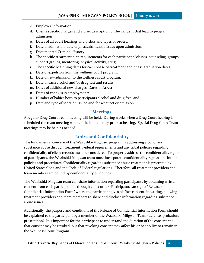- c. Employer Information
- d. Clients specific charges and a brief description of the incident that lead to program admission
- e. Dates of all court hearings and orders and types or orders;
- f. Date of admission, date of physicals, health issues upon admission;
- g. Documented Criminal History
- h. The specific treatment plan requirements for each participant (classes, counseling, groups, support groups, mentoring, physical activity, etc.);
- i. The specific beginning dates for each phase of treatment and phase graduation dates;
- j. Date of expulsion from the wellness court program;
- k. Date of re—admission to the wellness court program;
- l. Date of each alcohol and/or drug test and results;
- m. Dates of additional new charges, Dates of Arrest
- n. Dates of changes in employment;
- o. Number of babies born to participants alcohol and drug free; and
- p. Date and type of sanction issued and for what act or omission

#### **Meetings**

<span id="page-11-0"></span>A regular Drug Court Team meeting will be held. During weeks when a Drug Court hearing is scheduled the team meeting will be held immediately prior to hearing. Special Drug Court Team meetings may be held as needed.

#### **Ethics and Confidentiality**

<span id="page-11-1"></span>The fundamental concern of the Waabshki-Miigwan program is addressing alcohol and substance abuse through treatment. Federal requirements and any tribal policies regarding confidentiality of client records must be considered. To properly address the confidentiality rights of participants, the Waabshki-Miigwan team must incorporate confidentiality regulations into its policies and procedures. Confidentiality regarding substance abuse treatment is protected by United States Code and the Code of Federal regulations. Therefore, all treatment providers and team members are bound by confidentiality guidelines.

The Waabshki-Miigwan team can share information regarding participants by obtaining written consent from each participant or through court order. Participants can sign a "Release of Confidential Information Form" where the participant gives his/her consent, in writing, allowing treatment providers and team members to share and disclose information regarding substance abuse issues.

Additionally, the purpose and conditions of the Release of Confidential Information Form should be explained to the participant by a member of the Waabshki-Miigwan Team (defense, probation, prosecution). It is important for the participant to understand the duration of the consent and that consent may be revoked, but that revoking consent may affect his or her ability to remain in the Wellness Court Program.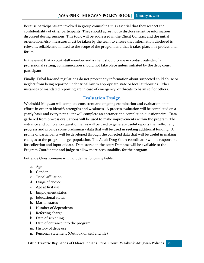Because participants are involved in group counseling it is essential that they respect the confidentiality of other participants. They should agree not to disclose sensitive information discussed during sessions. This topic will be addressed in the Client Contract and the initial orientation. Also, measures must be taken by the team to ensure that information disclosed is relevant, reliable and limited to the scope of the program and that it takes place in a professional forum.

In the event that a court staff member and a client should come in contact outside of a professional setting, communication should not take place unless initiated by the drug court participant.

Finally, Tribal law and regulations do not protect any information about suspected child abuse or neglect from being reported under tribal law to appropriate state or local authorities. Other instances of mandated reporting are in case of emergency, or threats to harm self or others.

### **Evaluation Design**

<span id="page-12-0"></span>Waabshki-Miigwan will complete consistent and ongoing examination and evaluation of its efforts in order to identify strengths and weakness. A process evaluation will be completed on a yearly basis and every new client will complete an entrance and completion questionnaire. Data gathered from process evaluations will be used to make improvements within the program. The entrance and completion questionnaires will be used to generate useful reports that reflect any progress and provide some preliminary data that will be used in seeking additional funding. A profile of participants will be developed through the collected data that will be useful in making changes to the program target population. The Adult Drug Court coordinator will be responsible for collection and input of data. Data stored in the court Database will be available to the Program Coordinator and Judge to allow more accountability for the program.

Entrance Questionnaire will include the following fields:

- a. Age
- b. Gender
- c. Tribal affiliation
- d. Drugs of choice
- e. Age at first use
- f. Employment status
- g. Educational status
- h. Marital status
- i. Number of dependents
- j. Referring charge
- k. Date of screening
- l. Date of entrance into the program
- m. History of drug use
- n. Personal Statement (Outlook on self and life)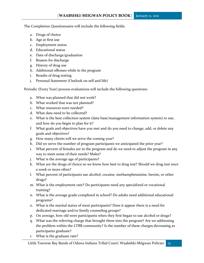The Completion Questionnaire will include the following fields:

- a. Drugs of choice
- b. Age at first use
- c. Employment status
- d. Educational status
- e. Date of discharge/graduation
- f. Reason for discharge
- g. History of drug use
- h. Additional offenses while in the program
- i. Results of drug testing
- j. Personal Statement (Outlook on self and life)

Periodic (Every Year) process evaluations will include the following questions:

- a. What was planned that did not work?
- b. What worked that was not planned?
- c. What resources were needed?
- d. What data need to be collected?
- e. What is the best collection system (data base/management information system) to use, and how do you begin to plan for it?
- f. What goals and objectives have you met and do you need to change, add, or delete any goals and objectives?
- g. How many clients will we serve the coming year?
- h. Did we serve the number of program participants we anticipated the prior year?
- i. What percent of females are in the program and do we need to adjust the program in any way to meet some of their needs? Males?
- j. What is the average age of participants?
- k. What are the drugs of choice so we know how best to drug test? Should we drug test once a week or more often?
- l. What percent of participants use alcohol, cocaine, methamphetamine, heroin, or other drugs?
- m. What is the employment rate? Do participants need any specialized or vocational training?
- n. What is the average grade completed in school? Do adults need additional educational programs?
- o. What is the marital status of most participants? Does it appear there is a need for dedicated marriage and/or family counseling groups?
- p. On average, how old were participants when they first began to use alcohol or drugs?
- q. What was the referring charge that brought them into the program? Are we addressing the problem within the LTBB community? Is the number of these charges decreasing as participants graduate?
- r. What is the graduate rate?